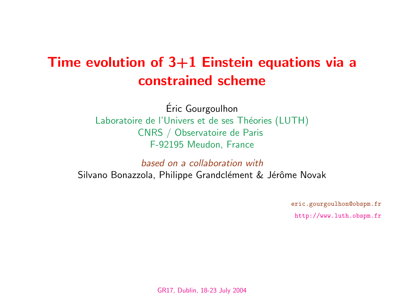# Time evolution of  $3+1$  Einstein equat constrained scheme

Eric Gourgoulhon ´ Laboratoire de l'Univers et de ses Théories (LUT CNRS / Observatoire de Paris F-92195 Meudon, France

based on a collaboration with Silvano Bonazzola, Philippe Grandclément & Jérôme

 $\epsilon$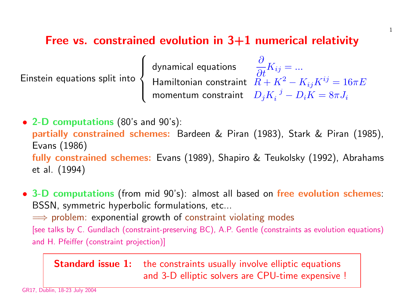### Free vs. constrained evolution in  $3+1$  numerical relativity

 $\overline{ }$ 

 $\int$ 

 $\begin{matrix} \phantom{-} \end{matrix}$ 

Einstein equations split into

dynamical equations  $\frac{\partial}{\partial x}$ 

 $\frac{\partial}{\partial t}K_{ij} = ...$ Hamiltonian constraint  $\overline{R} + K^2 - K_{ij} K^{ij} = 16 \pi E$ momentum constraint  $\left\| {D_j{K_i}} \right\|^j - D_i \v K = 8\pi J_i$ 

- 2-D computations (80's and 90's): partially constrained schemes: Bardeen & Piran (1983), Stark & Piran (1985), Evans (1986) fully constrained schemes: Evans (1989), Shapiro & Teukolsky (1992), Abrahams et al. (1994)
- 3-D computations (from mid 90's): almost all based on free evolution schemes: BSSN, symmetric hyperbolic formulations, etc...  $\implies$  problem: exponential growth of constraint violating modes [see talks by C. Gundlach (constraint-preserving BC), A.P. Gentle (constraints as evolution equations) and H. Pfeiffer (constraint projection)]

**Standard issue 1:** the constraints usually involve elliptic equations and 3-D elliptic solvers are CPU-time expensive !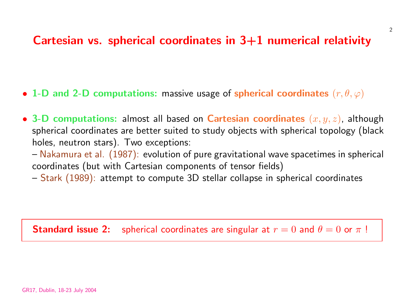### Cartesian vs. spherical coordinates in  $3+1$  numerical relativity

- 1-D and 2-D computations: massive usage of spherical coordinates  $(r, \theta, \varphi)$
- 3-D computations: almost all based on Cartesian coordinates  $(x, y, z)$ , although spherical coordinates are better suited to study objects with spherical topology (black holes, neutron stars). Two exceptions:
	- Nakamura et al. (1987): evolution of pure gravitational wave spacetimes in spherical coordinates (but with Cartesian components of tensor fields)
	- Stark (1989): attempt to compute 3D stellar collapse in spherical coordinates

**Standard issue 2:** spherical coordinates are singular at  $r = 0$  and  $\theta = 0$  or  $\pi$ !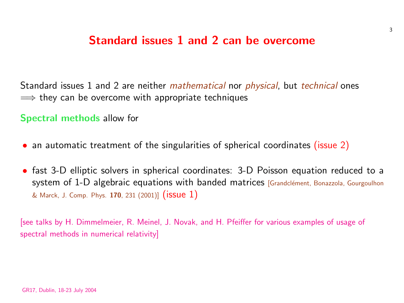## Standard issues 1 and 2 can be overcoment

Standard issues 1 and 2 are neither *mathematical* nor *physical*, bu  $\implies$  they can be overcome with appropriate techniques

S[pectral methods](http://dx.doi.org/10.1006/jcph.2001.6734) allow for

- $\bullet$  an automatic treatment of the singularities of spherical coordin
- fast 3-D elliptic solvers in spherical coordinates: 3-D Poisson  $\epsilon$ system of 1-D algebraic equations with banded matrices [Grandcles] & Marck, J. Comp. Phys. 170, 231 (2001)]  $(issue 1)$

[see talks by H. Dimmelmeier, R. Meinel, J. Novak, and H. Pfeiffer for various spectral methods in numerical relativity]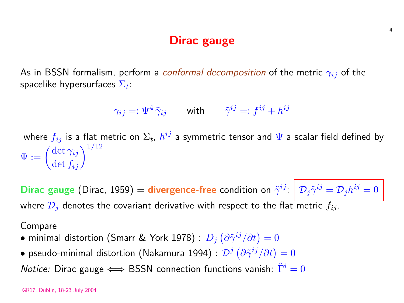## Dirac gauge

As in BSSN formalism, perform a *conformal decomposition* of the metric  $\gamma_{ij}$  of the spacelike hypersurfaces  $\Sigma_t$ :

$$
\gamma_{ij} =: \Psi^4 \, \tilde{\gamma}_{ij} \qquad \text{with} \qquad \tilde{\gamma}^{ij} =: f^{ij} + h^{ij}
$$

where  $f_{ij}$  is a flat metric on  $\Sigma_t$ ,  $h^{ij}$  a symmetric tensor and  $\Psi$  a scalar field defined by where  $\Psi := \left( \begin{array}{c} 1 & 0 \\ 0 & 1 \end{array} \right)$  $\det \gamma_{ij}$  $\frac{\det \gamma_{ij}}{\det f_{ij}}\biggr)^{1/12}$ 

Dirac gauge (Dirac, 1959) = divergence-free condition on  $\tilde{\gamma}^{ij}$ :  $\left| D_j \tilde{\gamma}^{ij} = D_j h^{ij} = 0 \right|$ where  $\mathcal{D}_j$  denotes the covariant derivative with respect to the flat metric  $f_{ij}$ .

Compare

- $\bullet$  minimal distortion (Smarr & York 1978) :  $D_j$ ¡  $\partial \tilde{\gamma}^{ij}/\partial t\big) = 0$
- pseudo-minimal distortion (Nakamura 1994) :  $\mathcal{D}^j$  (  $\partial \tilde{\gamma}^{ij}/\partial t\big) = 0$

*Notice:* Dirac gauge  $\Longleftrightarrow$  BSSN connection functions vanish:  $\tilde{\Gamma}^i = 0$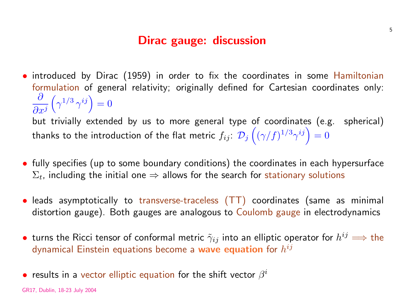## Dirac gauge: discussion

• introduced by Dirac (1959) in order to fix the coordinates in some Hamiltonian formulation of general relativity; originally defined for Cartesian coordinates only:  $\partial$  $\partial x^j$ lu<br>Z  $\gamma^{1/3}\, \gamma$  $\frac{1}{ij}$  $= 0$ 

but trivially extended by us to more general type of coordinates (e.g. spherical) thanks to the introduction of the flat metric  $f_{ij}$ :  $\mathcal{D}_{j}\left((\gamma/f)^{1/3}\gamma\right)$ tes $\big\{ij\big\}$  $= 0$ 

- fully specifies (up to some boundary conditions) the coordinates in each hypersurface  $\Sigma_t$ , including the initial one  $\Rightarrow$  allows for the search for stationary solutions
- leads asymptotically to transverse-traceless (TT) coordinates (same as minimal distortion gauge). Both gauges are analogous to Coulomb gauge in electrodynamics
- $\bullet\,$  turns the Ricci tensor of conformal metric  $\tilde\gamma_{ij}$  into an elliptic operator for  $h^{ij}\Longrightarrow$  the dynamical Einstein equations become a wave equation for  $h^{ij}$
- results in a vector elliptic equation for the shift vector  $\beta^i$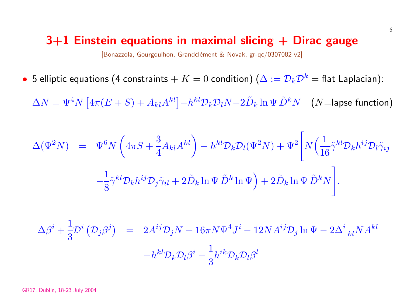## <span id="page-6-0"></span> $3+1$  Einstein equations in maximal slicing  $+$ [Bonazzola, Gourgoulhon, Grandclément & Novak, gr-qc/0307082

• 5 elliptic equations (4 constraints  $+$   $K=0$  condition) ( $\Delta:=\mathcal{D}_k$  $\Delta N = \Psi^4 N$ £  $4\pi(E+S)+A_{kl}A$  $kl$ ]  $-h^{kl}\mathcal{D}_k\mathcal{D}_lN-2\tilde{D}_k\ln\Psi\,\tilde{D}^k.$ 

$$
\Delta(\Psi^2 N) = \Psi^6 N \left( 4\pi S + \frac{3}{4} A_{kl} A^{kl} \right) - h^{kl} \mathcal{D}_k \mathcal{D}_l (\Psi^2 N) + \Psi
$$

$$
- \frac{1}{8} \tilde{\gamma}^{kl} \mathcal{D}_k h^{ij} \mathcal{D}_j \tilde{\gamma}_{il} + 2 \tilde{D}_k \ln \Psi \tilde{D}^k \ln \Psi \right) + 2 \tilde{D}_k \ln \Psi
$$

$$
\Delta\beta^{i} + \frac{1}{3}\mathcal{D}^{i}(\mathcal{D}_{j}\beta^{j}) = 2A^{ij}\mathcal{D}_{j}N + 16\pi N\Psi^{4}J^{i} - 12NA^{ij}\mathcal{D}
$$

$$
-h^{kl}\mathcal{D}_{k}\mathcal{D}_{l}\beta^{i} - \frac{1}{3}h^{ik}\mathcal{D}_{k}\mathcal{D}_{l}\beta^{l}
$$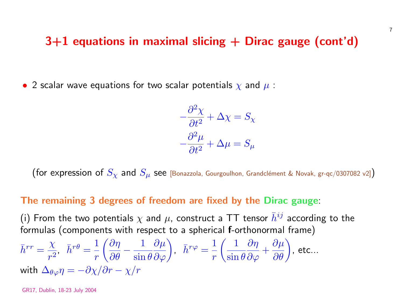### $3+1$  equations in maximal slicing  $+$  Dirac gauge

• 2 scalar wave equations for two scalar potentials  $\chi$  and  $\mu$ :

$$
-\frac{\partial^2 \chi}{\partial t^2} + \Delta \chi = S_{\chi}
$$

$$
-\frac{\partial^2 \mu}{\partial t^2} + \Delta \mu = S_{\mu}
$$

(for expression of  $S_{\chi}$  and  $S_{\mu}$  see [Bonazzola, Gourgoulhon, Grandclément &

#### The remaining 3 degrees of freedom are fixed by the Dirac g

(i) From the two potentials  $\chi$  and  $\mu$ , construct a TT tensor  $\bar{h}^{ij}$  ac formulas (components with respect to a spherical f-orthonormal fr

h¯rr = χ r 2 , h¯rθ = 1 r µ ∂ϕ¶ µ ∂θ¶ ∂η ∂θ <sup>−</sup> 1 sin θ ∂µ , h¯rϕ = 1 r 1 sin θ ∂η ∂ϕ <sup>+</sup> ∂µ , etc... with ∆θϕη = −∂χ/∂r − χ/r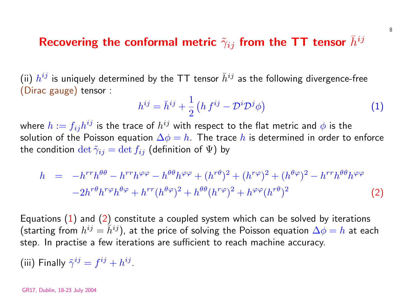## Recovering the conformal metric  $\tilde{\gamma}_{ij}$  from the  $\tilde{\mathsf{T}}$

(ii)  $h^{ij}$  is uniquely determined by the TT tensor  $\bar{h}^{ij}$  as the following (Dirac gauge) tensor :

$$
h^{ij} = \bar{h}^{ij} + \frac{1}{2} \left( h \, f^{ij} - \mathcal{D}^i \mathcal{D}^j \phi \right)
$$

where  $h:=f_{ij}h^{ij}$  is the trace of  $h^{ij}$  with respect to the flat metri solution of [th](#page-6-0)e Poisson equation  $\Delta \phi = h$ . The trace  $h$  is determin the condition  $\det \tilde{\gamma}_{ij} = \det f_{ij}$  (definition of  $\Psi$ ) by

$$
h = -h^{rr}h^{\theta\theta} - h^{rr}h^{\varphi\varphi} - h^{\theta\theta}h^{\varphi\varphi} + (h^{r\theta})^2 + (h^{r\varphi})^2 + (h^{\theta\theta})^2 - 2h^{r\theta}h^{r\varphi}h^{\theta\varphi} + h^{rr}(h^{\theta\varphi})^2 + h^{\theta\theta}(h^{r\varphi})^2 + h^{\varphi\varphi}(h^{r\theta})^2
$$

Equations  $(1)$  and  $(2)$  constitute a coupled system which can be s (starting from  $h^{ij} = \overline{h}^{ij}$ ), at the price of solving the Poisson equation step. In practise a few iterations are sufficient to reach machine a

(iii) Finally 
$$
\tilde{\gamma}^{ij} = f^{ij} + h^{ij}
$$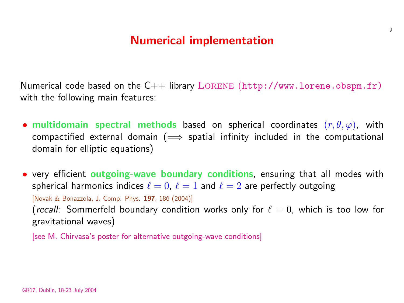## Numerical implementation

Numerical code based on the  $C++$  library  $L{\rm ORENE}$  (http://www. with the following main features:

- [multidomain spectral methods](http://dx.doi.org/10.1016/j.jcp.2003.11.027) based on spherical coord compactified external domain ( $\implies$  spatial infinity included domain for elliptic equations)
- very efficient outgoing-wave boundary conditions, ensuring spherical harmonics indices  $\ell = 0$ ,  $\ell = 1$  and  $\ell = 2$  are perfectly [Novak & Bonazzola, J. Comp. Phys. 197, 186 (2004)] (recall: Sommerfeld boundary condition works only for  $\ell = 0,$ gravitational waves)

[see M. Chirvasa's poster for alternative outgoing-wave conditions]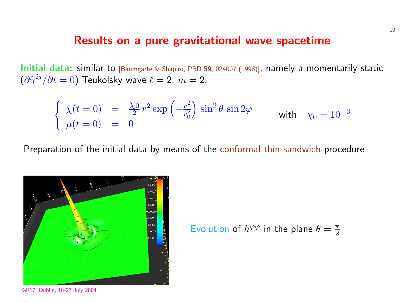### Results on a pure gravitational wave spa

Initial data: similar to [Baumgarte & Shapiro, PRD 59, 024007 (1998)], namely  $\left(\partial \tilde{\gamma}^{ij}/\partial t = 0\right)$  Teukolsky wave  $\ell = 2$ ,  $m = 2$ :

$$
\begin{cases}\n\chi(t=0) = \frac{\chi_0}{2} r^2 \exp\left(-\frac{r^2}{r_0^2}\right) \sin^2 \theta \sin 2\varphi \\
\mu(t=0) = 0\n\end{cases}
$$
 with

Preparation of the initial data by means of the conformal thin san



Evolution of  $h^{\varphi\varphi}$  in the p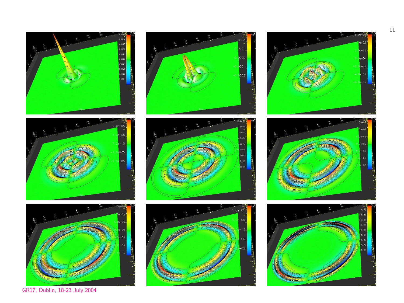















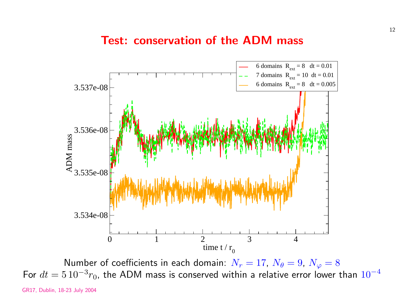### Test: conservation of the ADM mass



Number of coefficients in each domain:  $N_r = 17$ ,  $N_\theta = 9$ ,  $N_\varphi = 8$ For  $dt = 5\,10^{-3}r_0$ , the ADM mass is conserved within a relative error lower than  $10^{-4}$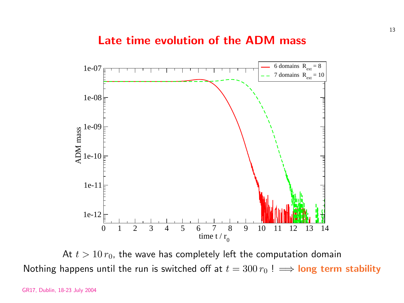

At  $t > 10 r_0$ , the wave has completely left the computation domain Nothing happens until the run is switched off at  $t = 300 r_0$  !  $\implies$  long term stability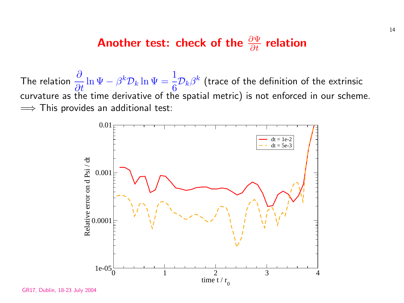# Another test: check of the  $\frac{\partial \Psi}{\partial t}$  relation

The relation  $\frac{\partial}{\partial x}$  $\frac{\partial}{\partial t} \ln \Psi - \beta$  ${}^{k}\mathcal{D}_{k}\ln \Psi =\frac{1}{c}% {\textstyle\sum\nolimits_{k}} \left[ \frac{\lambda_{k}}{2}\right] ^{k}\left[ \frac{\lambda_{k}}{2}\right] ^{k}\left[ \frac{\lambda_{k}}{2}\right] ^{k}\left[ \frac{\lambda_{k}}{2}\right] ^{k}\left[ \frac{\lambda_{k}}{2}\right] ^{k} \label{eq1.2}%$ 6  $\mathcal{D}_k \beta^k$  (trace of the definition of the extrinsic curvature as the time derivative of the spatial metric) is not enforced in our scheme.  $\implies$  This provides an additional test: